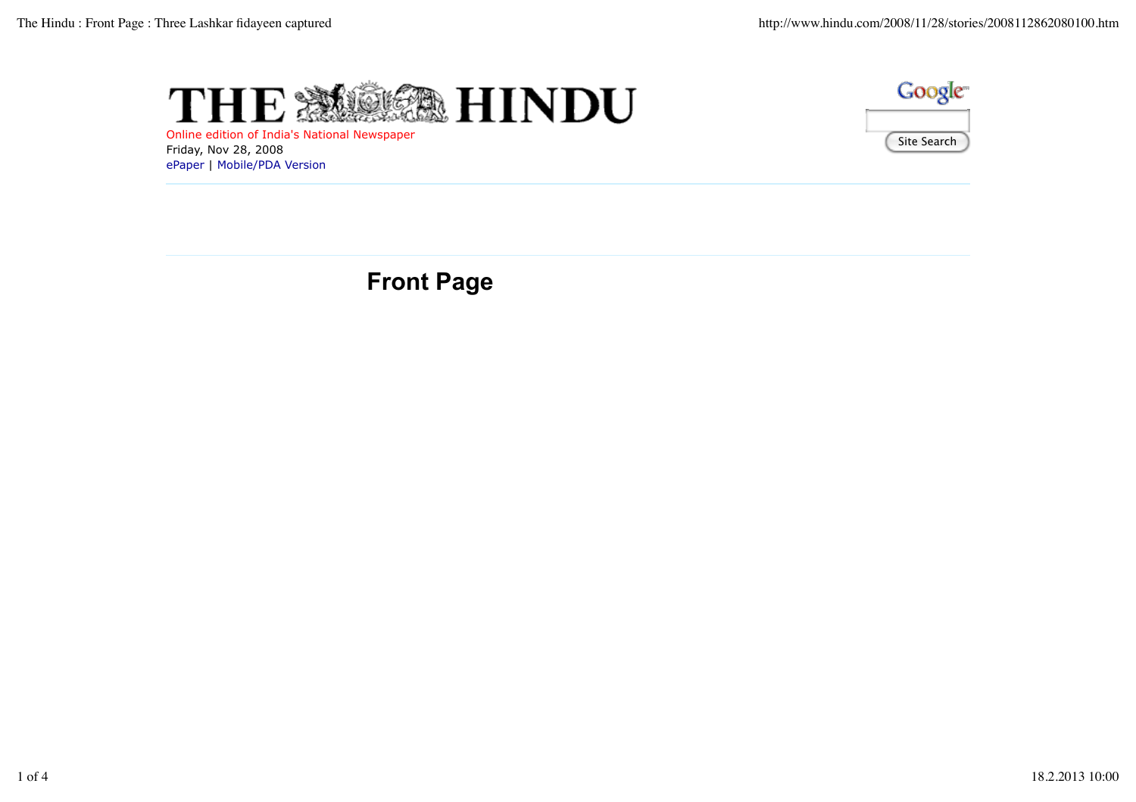



Online edition of India's National Newspaper Friday, Nov 28, 2008 ePaper | Mobile/PDA Version

**Front Page**